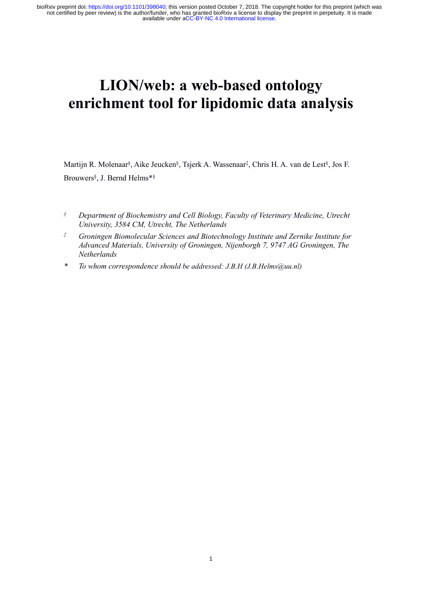# **LION/Web:****a Web-based** Detober 7, 2018. The copyright holder for this preprint (which was eview) is the authority of the web-based boftxiv a license to display the preprint in perpetutly. It is made available under aC FrankryCole https://dol.org/10.1101/398040; this version posted October 7, 2018. The copyright holder for this preprint (which was<br>
ad by peer review) is the authorithment, who has granded boRkw a license.<br> **ELION/Web: a** LION/web: a web-based ontology<br>enrichment tool for lipidomic data analy<br>Martijn R. Molenaar<sup>§</sup>, Aike Jeucken§, Tsjerk A. Wassenaar<sup>‡</sup>, Chris H. A. van de Lest<sup>§</sup>, J<br>Brouwers<sup>§</sup>, J. Bernd Helms\*§ **ed ontology<br>
nic data analysis**<br>
, Chris H. A. van de Lest<sup>§</sup>, Jos F. , Jos F. **LION/web: a web-base<br>
chment tool for lipidom**<br>
Molenaar<sup>§</sup>, Aike Jeucken§, Tsjerk A. Wassenaar<sup>‡</sup>,<br>
J. Bernd Helms\*§

Brouwers<sup>§</sup>, J. Bernd Helms\*§

- 
- **•• Charage Schement fool for lipidomic data analysis**<br> *Martijn R. Molenaar<sup>§</sup>, Aike Jeucken<sup>§</sup>, Tsjerk A. Wassenaar<sup>‡</sup>, Chris H. A. van de Lest<sup>§</sup>, Jos F.<br>
<i>§*<br> *§* Department of Biochemistry and Cell Biology, Faculty of *University, Aike Jeucken<sup>§</sup>, Tsjerk A. Wassenaar<sup>‡</sup>, Chris H. A. van de wers<sup>§</sup>, J. Bernd Helms<sup>\*§</sup><br><i>Department of Biochemistry and Cell Biology, Faculty of Veterinary Medicularsity, 3584 CM, Utrecht, The Netherlands*<br>*Gr Martijn R. Molenaar<sup>\$</sup>, Aike Jeucken<sup>\$</sup>, Tsjerk A. Wassenaar<sup>†</sup>, Chris H. A. van de Lest<sup>§</sup>, Jos F.<br>
Brouwers<sup>§</sup>, J. Bernd Helms<sup>\*8</sup><br>
<i><sup>\$</sup>* Department of Biochemistry and Cell Biology, Faculty of Veterinary Medicine, Utre ijn R. Molenaar<sup>§</sup>, Aike Jeucken<sup>§</sup>, Tsjerk A. Wassenaar<sup>t</sup>, Chris H. A. van de Lest<sup>§</sup>, Jos F.<br>Wers<sup>§</sup>, J. Bernd Helms<sup>#§</sup><br>*Department of Biochemistry and Cell Biology, Faculty of Veterinary Medicine, Utrecht*<br>*University Netherlands Martijn R. Molenaar<sup>§</sup>, Aike Jeucken<sup>§</sup>, Tsjerk A. Wassenaar<sup>‡</sup>, Chris H. A. van de Lest<sup>§</sup>, Jos F.<br>
<i>Frouwers<sup>§</sup>, J. Bernd Helms\*<sup>§</sup>*<br> *<sup>§</sup>*<br> *Department of Biochemistry and Cell Biology, Faculty of Veterinary Medicine,*
-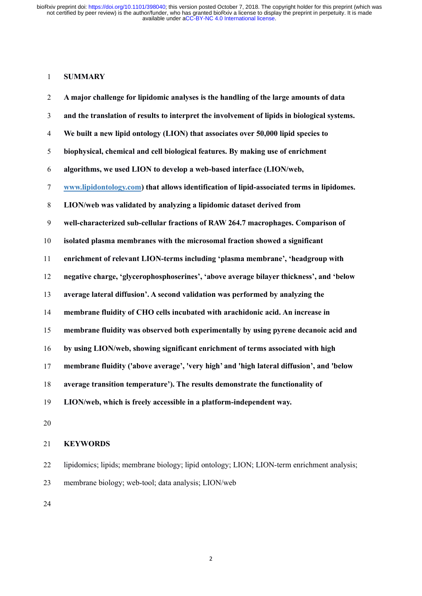# **SUMMARY**

|                | Rxiv preprint doi: https://doi.org/10.1101/398040; this version posted October 7, 2018. The copyright holder for this preprint (which was<br>not certified by peer review) is the author/funder, who has granted bioRxiv a license to display the preprint in perpetuity. It is made |
|----------------|--------------------------------------------------------------------------------------------------------------------------------------------------------------------------------------------------------------------------------------------------------------------------------------|
|                | available under aCC-BY-NC 4.0 International license.                                                                                                                                                                                                                                 |
|                |                                                                                                                                                                                                                                                                                      |
|                |                                                                                                                                                                                                                                                                                      |
| $\mathbf{1}$   | <b>SUMMARY</b>                                                                                                                                                                                                                                                                       |
| $\overline{2}$ | A major challenge for lipidomic analyses is the handling of the large amounts of data                                                                                                                                                                                                |
| 3              | and the translation of results to interpret the involvement of lipids in biological systems.                                                                                                                                                                                         |
| 4              | We built a new lipid ontology (LION) that associates over 50,000 lipid species to                                                                                                                                                                                                    |
| 5              | biophysical, chemical and cell biological features. By making use of enrichment                                                                                                                                                                                                      |
| 6              | algorithms, we used LION to develop a web-based interface (LION/web,                                                                                                                                                                                                                 |
| 7              | www.lipidontology.com) that allows identification of lipid-associated terms in lipidomes.                                                                                                                                                                                            |
| 8              | LION/web was validated by analyzing a lipidomic dataset derived from                                                                                                                                                                                                                 |
| 9              | well-characterized sub-cellular fractions of RAW 264.7 macrophages. Comparison of                                                                                                                                                                                                    |
| 10             | isolated plasma membranes with the microsomal fraction showed a significant                                                                                                                                                                                                          |
| 11             | enrichment of relevant LION-terms including 'plasma membrane', 'headgroup with                                                                                                                                                                                                       |
| 12             | negative charge, 'glycerophosphoserines', 'above average bilayer thickness', and 'below                                                                                                                                                                                              |
| 13             | average lateral diffusion'. A second validation was performed by analyzing the                                                                                                                                                                                                       |
| 14             | membrane fluidity of CHO cells incubated with arachidonic acid. An increase in                                                                                                                                                                                                       |
| 15             | membrane fluidity was observed both experimentally by using pyrene decanoic acid and                                                                                                                                                                                                 |
| 16             | by using LION/web, showing significant enrichment of terms associated with high                                                                                                                                                                                                      |
| 17             | membrane fluidity ('above average', 'very high' and 'high lateral diffusion', and 'below                                                                                                                                                                                             |
| 18             | average transition temperature'). The results demonstrate the functionality of                                                                                                                                                                                                       |
| 19             | LION/web, which is freely accessible in a platform-independent way.                                                                                                                                                                                                                  |
|                |                                                                                                                                                                                                                                                                                      |

# **KEYWORDS**

 lipidomics; lipids; membrane biology; lipid ontology; LION; LION-term enrichment analysis; membrane biology; web-tool; data analysis; LION/web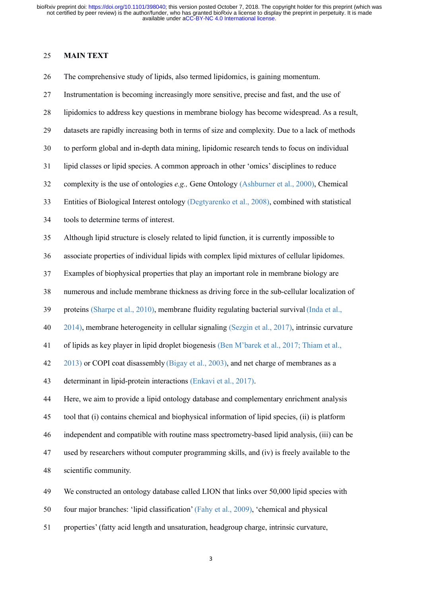Example19 and the term of the term of the term of the term of term of term of term of term of term of term of term of term of the author/funder, who has granted available under aCC-BY-N<br>
25 **MAIN TEXT**<br>
26 **The comprehens** 9The comprehensive study of lipids, also termed Detober 7, 2018. The copyright holder for this preprint (which was not certified by peer review) is the author/funder, who has granted bioRxiv a license to display the prepr 928 INStrumentation is becoming increasingly more sensitive, precise and fast, and the use of<br>the comprehensive study of lipids, also termed bioRxiv a license to display the preprint in perpetuity. It is made<br>available und 98 Rivity preprint doi: https://doi.org/10.1101/398040; this version posted October 7, 2018. The copyright holder for this preprint (which was not certified by peer review) is the author/lunder, who has granted bioRxiv a l 223 **MAIN TEXT**<br>26 **Data are review** is the automobilities were reached to a consistence.<br>29 **MAIN TEXT**<br>26 **Data are rapidly** of lipids, also termed lipidomics, is gaining momentum.<br>27 **Instrumentation is becoming increas 32 MAIN TEXT**<br>
36 The comprehensive study of lipids, also termed lipidomics, is gaining momentum.<br>
327 Instrumentation is becoming increasingly more sensitive, precise and fast, and the use of<br>
328 lipidomics to address **32 MAIN TEXT**<br>
26 The comprehensive study of lipids, also termed lipidomics, is gaining momentum.<br>
32 Instrumentation is becoming increasingly more sensitive, precise and fast, and the use of<br>
32 Iipidomics to address key The comprehensive study of lipids, also termed lipidomics, is gaining momentum.<br>
1nstrumentation is becoming increasingly more sensitive, precise and fast, and the use of<br>
1ipidomics to address key questions in membrane bi 27 Instrumentation is becoming increasingly more sensitive, precise and fast, and the use of<br>
28 lipidomics to address key questions in membrane biology has become widespread. As a result,<br>
31 datasets are rapidly increas lipidomics to address key questions in membrane biology has becc<br>datasets are rapidly increasing both in terms of size and complexity<br>to perform global and in-depth data mining, lipidomic research ten<br>lipid classes or lipi datasets are rapidly increasing both in terms of size and complexity. Due to a lack of methods<br>to perform global and in-depth data mining, lipidomic research tends to focus on individual<br>lipid classes or lipid species. A c 36 to perform global and in-depth data mining, lipidomic research tends to focus on individual<br>31 lipid classes or lipid species. A common approach in other 'omics' disciplines to reduce<br>32 complexity is the use of ontolo 37 Ilipid classes or lipid species. A common approach in other 'omics' disciplines to reduce<br>
32 complexity is the use of ontologies  $e.g.,$  Gene Ontology (Ashburner et al., 2000), Chemical<br>
33 Entities of Biological Intere 32 complexity is the use of ontologies *e.g.*, Gene Ontology (Ashburner et al., 2000), Chemical<br>33 Entities of Biological Interest ontology (Degtyarenko et al., 2008), combined with statistical<br>34 tools to determine terms Entities of Biological Interest ontology (Degtyarenko et al., 2008), combined with statistical<br>
33 to determine terms of interest.<br>
35 Although lipid structure is closely related to lipid function, it is currently impossib tools to determine terms of interest.<br>
Although lipid structure is closely related to lipid function, it is currently impossible to<br>
associate properties of individual lipids with complex lipid mixtures of cellular lipidom Although lipid structure is closely related to lipid function, it is currently impossible to<br>associate properties of individual lipids with complex lipid mixtures of cellular lipidomes.<br>Examples of biophysical properties t associate properties of individual lipids with complex lipid mixtures of cellular lipidomes.<br>
Examples of biophysical properties that play an important role in membrane biology are<br>
numerous and include membrane thickness 437 Examples of biophysical properties that play an important role in membrane biology are<br>
438 numerous and include membrane thickness as driving force in the sub-cellular localization of<br>
439 proteins (Sharpe et al., 20 proteins (Sharpe et al., 2010), membrane fluidity regulating bacterial survival (Inda et al., 2014), membrane heterogeneity in cellular signaling (Sezgin et al., 2017), intrinsic curvature of lipids as key player in lipid 2014), membrane heterogeneity in cellular signaling (Sezgin et al., 2017), intrinsic curvature<br>of lipids as key player in lipid droplet biogenesis (Ben M'barek et al., 2017; Thiam et al.,<br>2013) or COPI coat disassembly (Bi 41 of lipids as key player in lipid droplet biogenesis (Ben M'barck et al., 2017; Thiam et al., 2013) or COPI coat disassembly (Bigay et al., 2003), and net charge of membranes as a determinant in lipid-protein interactio 2013) or COPI coat disassembly (Bigay et al., 20<br>determinant in lipid-protein interactions (Enkavi<br>Here, we aim to provide a lipid ontology databas<br>tool that (i) contains chemical and biophysical in<br>independent and compati determinant in lipid-protein interactions (Enkavi et al., 2017).<br>
44 Here, we aim to provide a lipid ontology database and complementary enrichment analysis<br>
45 tool that (i) contains chemical and biophysical information o Here, we aim to provide a lipid ontology database and complementary enrichment analysis<br>
fool that (i) contains chemical and biophysical information of lipid species, (ii) is platform<br>
independent and compatible with routi tool that (i) contains chemical and biophysical information of lipid species, (ii) is platform<br>independent and compatible with routine mass spectrometry-based lipid analysis, (iii) can be<br>used by researchers without comput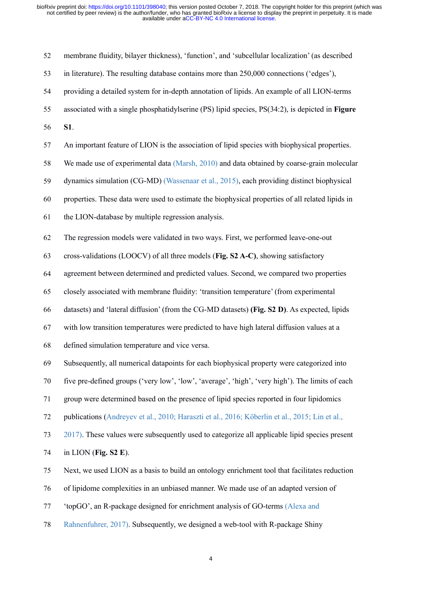|    | oRxiv preprint doi: https://doi.org/10.1101/398040; this version posted October 7, 2018. The copyright holder for this preprint (which was<br>not certified by peer review) is the author/funder, who has granted bioRxiv a license to display the preprint in perpetuity. It is made<br>available under aCC-BY-NC 4.0 International license. |
|----|-----------------------------------------------------------------------------------------------------------------------------------------------------------------------------------------------------------------------------------------------------------------------------------------------------------------------------------------------|
| 52 | membrane fluidity, bilayer thickness), 'function', and 'subcellular localization' (as described                                                                                                                                                                                                                                               |
| 53 | in literature). The resulting database contains more than 250,000 connections ('edges'),                                                                                                                                                                                                                                                      |
| 54 | providing a detailed system for in-depth annotation of lipids. An example of all LION-terms                                                                                                                                                                                                                                                   |
| 55 | associated with a single phosphatidylserine (PS) lipid species, PS(34:2), is depicted in <b>Figure</b>                                                                                                                                                                                                                                        |
| 56 | S1.                                                                                                                                                                                                                                                                                                                                           |
| 57 | An important feature of LION is the association of lipid species with biophysical properties.                                                                                                                                                                                                                                                 |
| 58 | We made use of experimental data (Marsh, 2010) and data obtained by coarse-grain molecular                                                                                                                                                                                                                                                    |
| 59 | dynamics simulation (CG-MD) (Wassenaar et al., 2015), each providing distinct biophysical                                                                                                                                                                                                                                                     |
| 60 | properties. These data were used to estimate the biophysical properties of all related lipids in                                                                                                                                                                                                                                              |
| 61 | the LION-database by multiple regression analysis.                                                                                                                                                                                                                                                                                            |
| 62 | The regression models were validated in two ways. First, we performed leave-one-out                                                                                                                                                                                                                                                           |
| 63 | cross-validations (LOOCV) of all three models (Fig. S2 A-C), showing satisfactory                                                                                                                                                                                                                                                             |
| 64 | agreement between determined and predicted values. Second, we compared two properties                                                                                                                                                                                                                                                         |
| 65 | closely associated with membrane fluidity: 'transition temperature' (from experimental                                                                                                                                                                                                                                                        |
| 66 | datasets) and 'lateral diffusion' (from the CG-MD datasets) (Fig. S2 D). As expected, lipids                                                                                                                                                                                                                                                  |
| 67 | with low transition temperatures were predicted to have high lateral diffusion values at a                                                                                                                                                                                                                                                    |
| 68 | defined simulation temperature and vice versa.                                                                                                                                                                                                                                                                                                |
| 69 | Subsequently, all numerical datapoints for each biophysical property were categorized into                                                                                                                                                                                                                                                    |
| 70 | five pre-defined groups ('very low', 'low', 'average', 'high', 'very high'). The limits of each                                                                                                                                                                                                                                               |
| 71 | group were determined based on the presence of lipid species reported in four lipidomics                                                                                                                                                                                                                                                      |
| 72 | publications (Andreyev et al., 2010; Haraszti et al., 2016; Köberlin et al., 2015; Lin et al.,                                                                                                                                                                                                                                                |
| 73 | 2017). These values were subsequently used to categorize all applicable lipid species present                                                                                                                                                                                                                                                 |
| 74 | in LION (Fig. $S2$ E).                                                                                                                                                                                                                                                                                                                        |
| 75 | Next, we used LION as a basis to build an ontology enrichment tool that facilitates reduction                                                                                                                                                                                                                                                 |
| 76 | of lipidome complexities in an unbiased manner. We made use of an adapted version of                                                                                                                                                                                                                                                          |
| 77 | 'topGO', an R-package designed for enrichment analysis of GO-terms (Alexa and                                                                                                                                                                                                                                                                 |
| 78 | Rahnenfuhrer, 2017). Subsequently, we designed a web-tool with R-package Shiny                                                                                                                                                                                                                                                                |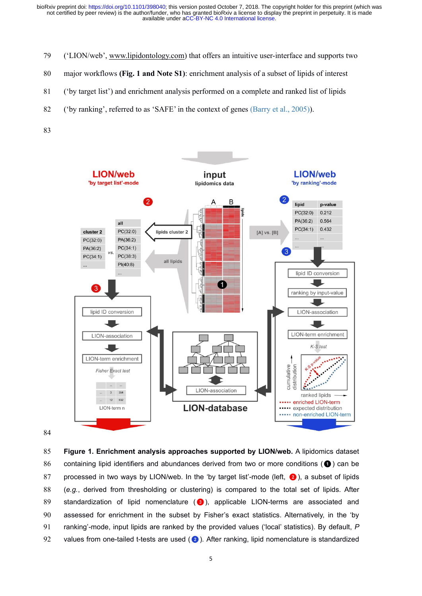97 (Colorg/10.1101/398040; this version posted October 7, 2018. The copyright holder for this preprint (which was not certified by peer review) is the author/funder, who has granted bioRxiv a license to display the preprin available under [aCC-BY-NC 4.0 International license.](http://creativecommons.org/licenses/by-nc/4.0/) not certified by peer review) is the author/funder, who has granted bioRxiv a license to display the preprint in perpetuity. It is made bioRxiv preprint doi: https://doi.org/10.1101/398040; this version posted October 7, 2018. The copyright holder for this preprint (which was

- 
- 80 major workflows **(Fig. 1 and Note S1)**: enrichment analysis of a subset of lipids of interest
- 81 ('by target list') and enrichment analysis performed on a complete and ranked list of lipids
- 82 ('by ranking', referred to as'SAFE' in the contextof genes (Barry et al., 2005)).
- 83



Examples and the standardization of lipid internet in the subset by Fisher's exact statistics. Alternatively, in the 'by same set of lipids are set of lipids (e.g., derived from thresholding or clustering) is compared to t **Examples and LION-database Containing the CION-terms are associated and the separation of lipid identifiers and abundances derived from two or more conditions (** $\bullet$ **) can be processed in two ways by LION/web. In the by tar** Figure 1. Enrichment analysis approaches supported by LION/web. A lipidomics dataset<br>containing lipid identifiers and abundances derived from two or more conditions ( $\bullet$ ) can be<br>processed in two ways by LION/web. In the ' 91 **Figure 1. Enrichment analysis approaches supported by LION/web.** A lipidomics dataset<br>
91 containing lipid identifiers and abundances derived from two or more conditions (●) can be<br>
91 processed in two ways by LION/we Figure 1. Enrichment analysis approaches supported by LION/web. A lipidomics dataset<br>
86 containing lipid identifiers and abundances derived from two or more conditions (<sup>●</sup>) can be<br>
92 processed in two ways by LION/web. I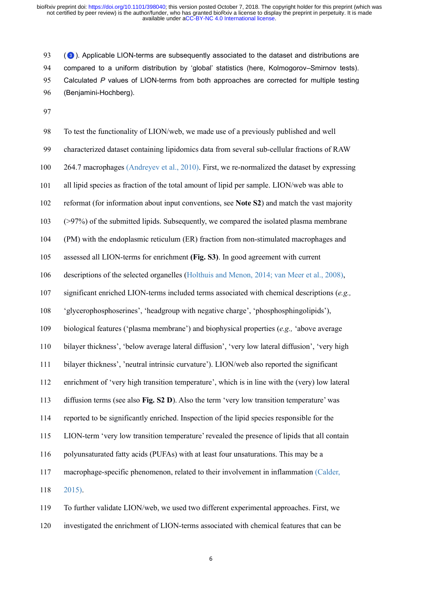93 (<sup>3</sup>). Applicable LION-terms are subsequently associated to the dataset and distributions are 94 compared to a uniform distribution by 'global' statistics (here, Kolmogorov–Smirnov tests). Calculated *P* values of LION-terms from both approaches are corrected for multiple testing (Benjamini-Hochberg).

 To test the functionality of LION/web, we made use of a previously published and well 99 characterized dataset containing lipidomics data from several sub-cellular fractions of RAW 264.7 macrophages (Andreyev et al., 2010). First, we re-normalized the dataset by expressing all lipid species as fraction of the total amount of lipid per sample. LION/web was able to reformat (for information about input conventions, see **Note S2**) and match the vast majority (>97%) of the submitted lipids. Subsequently, we compared the isolated plasma membrane (PM) with the endoplasmic reticulum (ER) fraction from non-stimulated macrophages and assessed all LION-terms for enrichment **(Fig. S3)**. In good agreement with current 106 descriptions of the selected organelles (Holthuis and Menon, 2014; van Meer et al., 2008), significant enriched LION-terms included terms associated with chemical descriptions (*e.g.,* 'glycerophosphoserines', 'headgroup with negative charge', 'phosphosphingolipids'), biological features ('plasma membrane') and biophysical properties (*e.g.,* 'above average bilayer thickness', 'below average lateral diffusion', 'very low lateral diffusion', 'very high bilayer thickness', 'neutral intrinsic curvature'). LION/web also reported the significant enrichment of 'very high transition temperature', which is in line with the (very) low lateral diffusion terms (see also **Fig. S2 D**). Also the term 'very low transition temperature' was reported to be significantly enriched. Inspection of the lipid species responsible for the LION-term 'very low transition temperature' revealed the presence of lipids that all contain polyunsaturated fatty acids (PUFAs) with at least four unsaturations. This may be a macrophage-specific phenomenon, related to theirinvolvement in inflammation (Calder, 2015). To further validate LION/web, we used two different experimental approaches. First, we

investigated the enrichment of LION-terms associated with chemical features that can be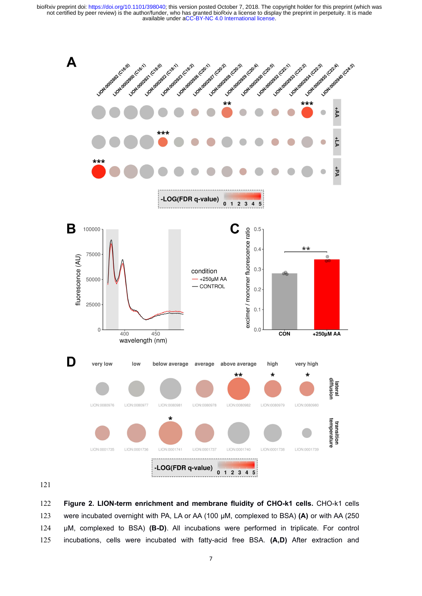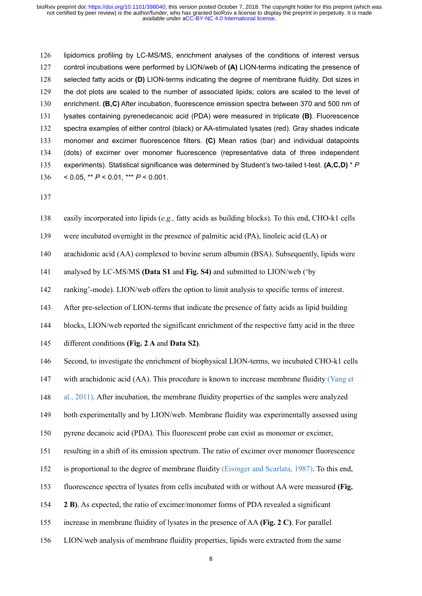ioRxivpreprint doi: https://doi.org/10.1101/398040; this version posted October 7, 2018. The copyright holder for this preprint (which was not certified by peer review) is the author/funder, who has granted bioRxiv a lice ioRxiv preprint doi: https://doi.org/10.1101/398040; this version posted October 7, 2018. The copyright holder for this preprint (which was not certified by peer review) is the author/funder, who has granted bioRxiv a lice 128 interest interest interest interest interest interest interest in the terms indicating the preprint (which was<br>
128 separate of the author/funder, who has granted bioRxiv a license to display the preprint in perpetuity ioRxiv preprint doi: https://doi.org/10.1101/398040; this version posted October 7, 2018. The copyright holder for this preprint (which was<br>not certified by peer review) is the author/funder, who has granted bioRxiv a lice ioRxiv preprint doi: https://doi.org/10.1101/398040; this version posted October 7, 2018. The copyright holder for this preprint (which was<br>not certified by peer review) is the author/funder, who has granted bioRxiv a lice 131 Ipidomics profiling by LC-MS/MS, enrichment analyses of the conditions of interest versus and acidable under aCC-BY-NC 4.0 International license.<br>
126 Iipidomics profiling by LC-MS/MS, enrichment analyses of the condit Ipidomics profiling by LC-MS/MS, enrichment analyses of the conditions of interest versus<br>
127 control incubations were performed by LION/web of (A) LION-terms indicating the presence of<br>
128 selected fatty acids or (D) LI lipidomics profiling by LC-MS/MS, enrichment analyses of the conditions of interest versus<br>
127 control incubations were performed by LION/web of (A) LION-terms indicating the presence of<br>
128 selected fatty acids or (D) L 126 lipidomics profiling by LC-MS/MS, enrichment analyses of the conditions of interest versus<br>
222 control incubations were performed by LION/web of (A) LION-terms indicating the presence of<br>
328 selected fatty acids or 127 control incubations were performed by LION/web of (A) LION-terms indicating the presence of<br>
128 selected fatty acids or (D) LION-terms indicating the degree of membrane fluidity. Dot sizes in<br>
129 the dot plots are s selected fatty acids or (D) LION-terms indicating the degree<br>the dot plots are scaled to the number of associated lipids;<br>enrichment. (B,C) After incubation, fluorescence emission sp<br>lysates containing pyrenedecanoic acid 130 enrichment. (**B,C**) After incubation, fluorescence emission spectra between 370 and 500 nm of<br>131 lystes containing pyrenedecanoic acid (PDA) were measured in triplicate (**B**). Fluorescence<br>132 spectra examples of eith 139 spectra examples of either control (black) or AA-stimulated lysates (red). Gray shades indicate<br>
139 spectra examples of either control (black) or AA-stimulated lysates (red). Gray shades indicate<br>
139 monomer and exc 133 monomer and excimer fluorescence filters. (C) Mean ratios (bar) and individual datapoints<br>
134 (dots) of excimer over monomer fluorescence (representative data of three independent<br>
135 experiments). Statistical signi 141 does) or examel over included a consider the preservative data or time independent<br>
211 experiments). Statistical significance was determined by Student's two-tailed t-test.  $(A, C, D) * P$ <br>
2136 casily incorporated into l 22 ranking'-mode). LION/web offers the option to limit analysis to specific terms of the option of the option to limit and  $(PA)$ , linding blocks). To this end, CHO-k1 cells<br>
23 easily incorporated into lipids  $(e.g.,$  fatty

137

137 easily incorporated into lipids ( $e.g.,$  fatty acids as building blocks). To this end, CHO-k1 cells<br>
139 were incubated overnight in the presence of palmitic acid (PA), linoleic acid (LA) or<br>
140 arachidonic acid (AA) c 138 easily incorporated into lipids (*e.g.*, fatty acids as building blocks). To this end, CHO-k1 cells<br>
149 were incubated overnight in the presence of palmitic acid (PA), linoleic acid (LA) or<br>
140 arachidonic acid (AA)

139 were incubated overnight in the presence of palmitic acid (PA), linoleic acid (I.A) or<br>
140 arachidonic acid (AA) complexed to bovine serum albumin (BSA). Subsequently, lipids were<br>
141 anking<sup>2</sup>-mode). LION/web offers

141 analysed by LC-MS/MS (Data S1 and Fig. S4) and submitted to LION/web (<sup>+</sup>by<br>
142 ranking<sup>2</sup>-mode). LION/web offers the option to limit analysis to specific terms of interest.<br>
143 After pre-selection of LION-terms that

142 al., 2011). After incubation, the membrane fluidity subsective fluiding in the three different conditions (Fig. 2 A and Data S2).<br>
146 blocks, LION/web reported the significant enrichment of the respective fatty acid i 143 After pre-selection of LION-terms that indicate the presence of fatty acids as lipid building<br>
144 blocks, LION/web reported the significant enrichment of the respective fatty acid in the three<br>
145 different condition 144 blocks, LION/web reported the significant enrichment of the respective fatty acid in the three<br>
145 different conditions (Fig. 2 A and Data S2).<br>
146 Second, to investigate the enrichment of biophysical LION-terms, we 145 different conditions (**Fig. 2 A** and **Data S2**).<br>
146 Second, to investigate the enrichment of biophysical LION-terms, we incubated CHO-k1 cells<br>
147 with a rachidonic acid (AA). This procedure is known to increase mem Second, to investigate the enrichment of biophysical LION-terms, we incubated CHO-k1 cells<br>with arachidonic acid (AA). This procedure is known to increase membrane fluidity (Yang et<br>al., 2011). After incubation, the membra 147 with arachidonic acid (AA). This procedure is known to increase membrane fluidity (Yang et al., 2011). After incubation, the membrane fluidity properties of the samples were analyzed both experimentally and by LION/web 148 al., 2011). After incubation, the membrane fluidity properties of the samples were analyzed<br>
149 both experimentally and by LION/web. Membrane fluidity was experimentally assessed using<br>
150 pyrene decanoic acid (PDA). 149 both experimentally and by LION/web. Membrane fluidity was experimentally assessed using<br>150 pyrene decanoic acid (PDA). This fluorescent probe can exist as monomer or excimer,<br>151 resulting in a shift of its emission

- 
- 150 by the decanoic acid (PDA). This fluorescent probe can exist as monomer or excimer,<br>
151 resulting in a shift of its emission spectrum. The ratio of excimer over monomer fluorescence<br>
152 is proportional to the degree
- 
-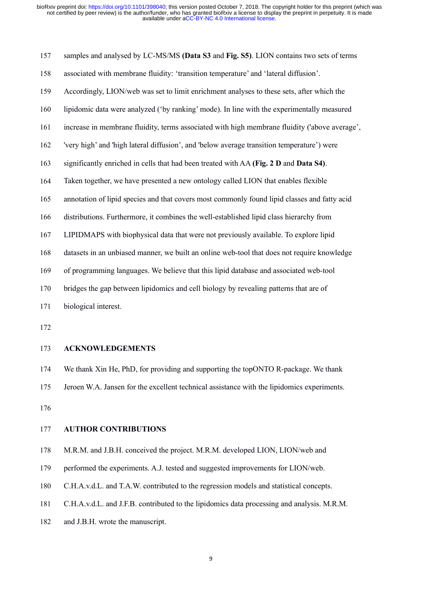157in analysed by LC-MS/MS (Data S3 and Fig. S5). LION contains two sets of terms associated with membrane fluidity: 'transition temperature' and 'lateral diffusion'.<br>
157 samples and analysed by LC-MS/MS (Data S3 and Fig 158 associated with membrane fluidity: 'transition temperature' and 'lateral diffusion'.<br>
158 associated with membrane fluidity: 'transition temperature' and 'lateral diffusion'.<br>
158 associated with membrane fluidity: 'tr 159 in the unit of the state of the state of the unit of the state of the unit of the state of the state of the state of terms were to display the preprint in perpetuty. It is made<br>
2018 The computation of the state of the 160 lipidomic data were analyzed ('by ranking' mode). In line with the experimentally network of this preprint (which was not certified by peer review) is the authorithmet, who has granted bioRw a license to display the pr 162 increase in membrane fluidity, when a spained bioRxiv a license to display the preprint in perpetuliy. It is made<br>
2016 under according to the angle of the material content of the preprint in perpetuliy. It is made<br>
16 samples and analysed by LC-MS/MS (Data S3 and Fig. S5). LION contains two sets of terms<br>associated with membrane fluidity: 'transition temperature' and 'lateral diffusion'.<br>Accordingly, LION/web was set to limit enrichment 157 samples and analysed by LC-MS/MS (Data 83 and Fig. S5). LION contains two sets of terms<br>
158 associated with membrane fluidity: 'transition temperature' and 'lateral diffusion'.<br>
169 Accordingly, LION/web was set to li Accordingly, LION/web was set to limit enrichment analyses to these sets, after which the<br>
160 lipidomic data were analyzed ('by ranking' mode). In line with the experimentally measured<br>
161 increase in membrane fluidity, 166 distributions. Furthermore, it combines the well-established lipid class hierarchy characterism and might membrane fluidity ('above average', 'very high' and 'high lateral diffusion', and 'below average transition temp 161 increase in membrane fluidity, terms associated with high membrane fluidity ('above average', 'very high' and 'high lateral diffusion', and 'below average transition temperature') were<br>
163 significantly enriched in ce Very high' and 'high lateral diffusion', and 'below average transition temperature') were<br>
significantly enriched in cells that had been treated with AA (Fig. 2 D and Data S4).<br>
Taken together, we have presented a new onto 163 significantly enriched in cells that had been treated with AA (Fig. 2 D and Data S4).<br>
164 Taken together, we have presented a new ontology called LION that enables flexible<br>
165 annotation of lipid species and that co 164 Taken together, we have presented a new ontology called LION that enables flexible<br>
165 annotation of lipid species and that covers most commonly found lipid classes and fatty acid<br>
166 distributions. Furthermore, it c annotation of lipid species and that covers most combines the well-e<br>166 distributions. Furthermore, it combines the well-e<br>167 LIPIDMAPS with biophysical data that were not<br>168 datasets in an unbiased manner, we built an 176 datasets in an unbused manner, we built an online web-tool that does not require knowledge<br>169 of programming languages. We believe that this lipid database and associated web-tool<br>170 bridges the gap between lipidomic 176 Jeroen W.A. Jansen for the excellent technical assistance with the lipidomics experiments.<br>
175 ACKNOWLEDGEMENTS<br>
175 ACKNOWLEDGEMENTS<br>
175 We thank Xin He, PhD, for providing and supporting the topONTO R-package. We t

172

# 173 **ACKNOWLEDGEMENTS**

172 **ACKNOWLEDGEMENTS**<br>174 We thank Xin He, PhD, for providing and supporting the to<br>175 Jeroen W.A. Jansen for the excellent technical assistance w<br>176 **AUTHOR CONTRIBUTIONS**<br>178 M.R.M. and J.B.H. conceived the project. M

173 ACKNOWLEDGEMENTS<br>
174 We thank Xin He, PhD, for providing and supporting the topONTO R-package. We thank<br>
175 Jeroen W.A. Jansen for the excellent technical assistance with the lipidomics experiments.<br>
176 AUTHOR CONTR 179 We thank Xin He, PhD, for providing and supporting the topONTO R-package. We thank<br>175 Jeroen W.A. Jansen for the excellent technical assistance with the lipidomics experiments.<br>176<br>177 **AUTHOR CONTRIBUTIONS**<br>178 M.R.M 174 We thank XIn He, PhD, for providing and supporting the topONTO R-package. We thank<br>175 Jeroen W.A. Jansen for the excellent technical assistance with the lipidomics experiments.<br>176 MJ. AUTHOR CONTRIBUTIONS<br>178 M.R.M.

176

176<br>
177 **AUTHOR CONTRIBUTIONS**<br>
178 M.R.M. and J.B.H. conceived the project. M.R.M. develope<br>
179 performed the experiments. A.J. tested and suggested impro<br>
180 C.H.A.v.d.L. and T.A.W. contributed to the regression mode<br>

175 ICT ALTHOR CONTRIBUTIONS<br>
176 AUTHOR CONTRIBUTIONS<br>
178 M.R.M. and J.B.H. conceived the project. M.R.M. developed LION, LION/web and<br>
179 Performed the experiments. A.J. tested and suggested improvements for LION/web.<br>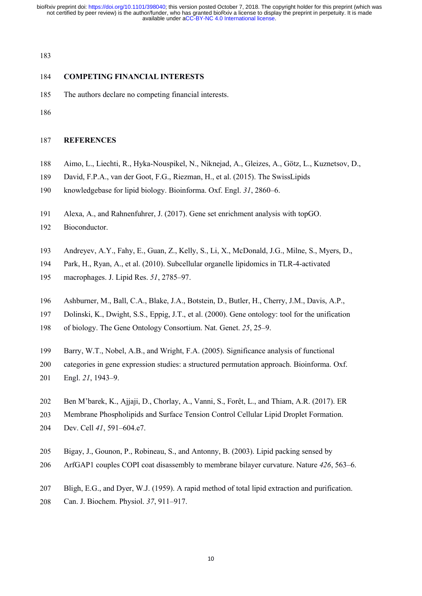ioRxivpreprint doi: https://doi.org/10.1101/398040; this version posted October 7, 2018. The copyric not certified by peer review) is the author/funder, who has granted bioRxiv a license to display the available under aCC ioRxiv preprint doi: https://doi.org/10.1101/398040; this version posted October 7, 2018. The copyright holder for not certified by peer review) is the author/funder, who has granted bioRxiv a license to display the prepri available under aCC-BY-NC 4.0 International license. not certified by peer review) is the author/funder, who has granted bioRxiv a license to display the preprint in perpetuity. It is made bioRxiv preprint doi: https://doi.org/10.1101/398040; this version posted October 7, 2018. The copyright holder for this preprint (which was

183

- 
- 186

# 187 **REFERENCES**

- 183<br>
184 **COMPETING FINANCIAL INTERESTS**<br>
185 The authors declare no competing financial interests.<br>
186<br>
187 **REFERENCES**<br>
188 Aimo, L., Liechti, R., Hyka-Nouspikel, N., Niknejad, A., Gleizes, A., Götz, L., Kuznetsov, D., **COMPETING FINANCIAL INTERESTS**<br>
185 The authors declare no competing financial interests.<br>
188 Aimo, L., Liechti, R., Hyka-Nouspikel, N., Niknejad, A., Gleizes, A., Götz, L., Kuznetsov, D.,<br>
189 David, F.P.A., van der Goo
- 
- 
- 184 **COMPETING FINANCIAL INTERESTS**<br>
185 The authors declare no competing financial interests.<br>
186<br>
187 **REFERENCES**<br>
188 Aimo, L., Liechti, R., Hyka-Nouspikel, N., Niknejad, A., Gleizes, A., Götz, L., Kuznetsov, D.,<br>
189 186<br>
186<br>
186<br>
181 **REFERENCES**<br>
191 Alexa, A., Hyka-Nouspikel, N., Niknejad, A., Gleizes, A., Götz, L., Kuznetsov, D.,<br>
191 David, F.P.A., van der Goot, F.G., Riezman, H., et al. (2015). The SwissLipids<br>
191 Alexa, A., an 187 REFERENCES<br>
Aimo, L., Liechti, R., Hyka-Nouspikel, N., Niknejad, A., Gleizes, A., Götz, L., Kuznetsov, D.,<br>
193 David, F.P.A., van der Goot, F.G., Riezman, H., et al. (2015). The SwissLipids<br>
190 knowledgebase for lipi Aimo, L., Liechti, R., Hyka-Nouspikel, N., Niknejad, A., Gleizes, A., Götz, L., Kuznetsov, D.,<br>
199 David, F.P.A., van der Goot, F.G., Riezman, H., et al. (2015). The SwissLipids<br>
190 knowledgebase for lipid biology. Bioin 188 Aimo, L., Liechti, R., Hyka-Nouspikel, N., Niknejad, A., Gleizes, A., David, F.P.A., van der Goot, F.G., Riezman, H., et al. (2015). The Switchmowledgebase for lipid biology. Bioinforma. Oxf. Engl. 31, 2860–6.<br>
191 Ale 196 Ashburner, M., Ball, C.A., Blake, J.A., Botstein, D., Butler, H., Cherry, J.M., Davis, A.P.,<br>
197 Adreyev, A.Y., Fahy, E., Guan, Z., Kelly, S., Li, X., McDonald, J.G., Milne, S., Myers, D.,<br>
194 Andreyev, A.Y., Fahy, E 191 Alexa, A., and Rahnenfuhrer, J. (2017). Gene set enrichment analysis with topGO.<br>
192 Bioconductor.<br>
193 Andreyev, A.Y., Fahy, E., Guan, Z., Kelly, S., Li, X., McDonald, J.G., Milne, S., Myers, D.,<br>
194 Park, H., Ryan, 191 Alexa, A., and Rahnenfuhrer, J. (2017). Gene set enrichment analysis with topGO.<br>
192 Bioconductor.<br>
193 Andreyev, A.Y., Fahy, E., Guan, Z., Kelly, S., Li, X., McDonald, J.G., Milne, S., Myers, D.,<br>
194 Park, H., Ryan,

192 Bioconductor.

- 
- 
- 
- 
- 
- 
- 
- 209 Barry, W.T., Nobel, A.B., and Wright, F.A. (2005). Significance analysis of functional Categories in TLR-4-activated macrophages. J. Lipid Res. 51, 2785–97.<br>
196 Ashburner, M., Ball, C.A., Blake, J.A., Botstein, D., Bu 200 Andreyev, A.Y., Fahy, E., Guan, Z., Kelly, S., Li, X., McDonald, J.G., Milne, S., Myers, D.,<br>
2014 Park, H., Ryan, A., et al. (2010). Subcellular organelle lipidomics in TLR-4-activated<br>
200 macrophages. J. Lipid Res. Park, H., Ryan, A., et al. (2010). Subcellular org.<br>
195 macrophages. J. Lipid Res. 51, 2785–97.<br>
196 Ashburner, M., Ball, C.A., Blake, J.A., Botstein,<br>
197 Dolinski, K., Dwight, S.S., Eppig, J.T., et al. (20<br>
198 of biolo 202 Ben M'barek, K., Ajjaji, D., Chorlay, A., Vanni, S., Forêt, L., and Thiam, A.R. (2017). ER<br>
202 Ben M'barek, K., Ajjaji, D., Chorlay, F.A. (2000). Gene ontology: tool for the unification<br>
200 Barry, W.T., Nobel, A.B., 203 Membrane Phospholipids and Surface Tension Control Cellular Lipid Droplet Formation<br>203 Membrane Phospholips A.B., epipg, J.T., et al. (2000). Gene ontology: tool for the unification<br>203 Memry, W.T., Nobel, A.B., and W 207 Dolinski, K., Dwight, S.S., Eppig, J.T., et al. (2000).<br>
200 of biology. The Gene Ontology Consortium. Nat. Ge<br>
201 Barry, W.T., Nobel, A.B., and Wright, F.A. (2005).<br>
200 categories in gene expression studies: a struc 205 Bigay, J., Gounon, P., Robineau, S., and Antonny, B. (2003). Lipid packing sensed by<br>201 Bigal, 21, 1943–9.<br>202 Ben M'barek, K., Ajjaji, D., Chorlay, A., Vanni, S., Forêt, L., and Thiam, A.R. (2017). ER<br>203 Ben M'barek Barry, W.T., Nobel, A.B., and Wright, F.A. (2005). Significance analysis of functional<br>
200 categories in gene expression studies: a structured permutation approach. Bioinforma. Oxf.<br>
201 Engl. 21, 1943–9.<br>
202 Ben M'barck
- 
- 
- 
- 
- 
- 
- 201 Bligh, 21, 1943–9.<br>
202 Ben M'barek, K., Ajjaji, D., Chorlay, A., Vanni, S., Forêt, L., and Thiam, A.R. (2017). ER<br>
203 Membrane Phospholipids and Surface Tension Control Cellular Lipid Droplet Formation.<br>
204 Bigay, J Ben M'barek, K., Ajjaji, D., Chorlay, A., Vanni, S., Forêt, L., and Th<br>
203 Membrane Phospholipids and Surface Tension Control Cellular Lipic<br>
204 Dev. Cell 41, 591–604.e7.<br>
205 Bigay, J., Gounon, P., Robineau, S., and Ant
-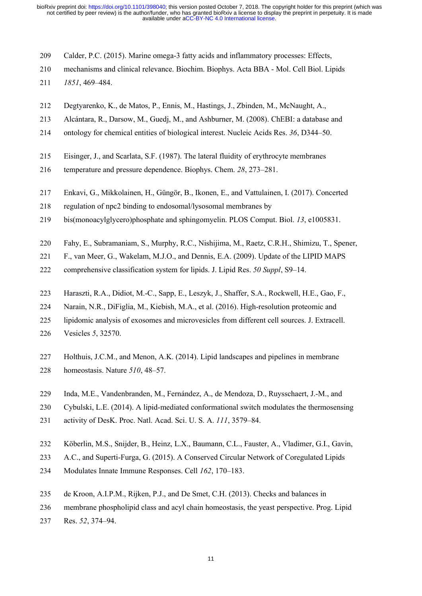ioRxivpreprint doi: https://doi.org/10.1101/398040; this version posted October 7, 2018. The copyright holder for this preprint (which was not certified by peer review) is the author/funder, who has granted bioRxiv a lice ioRxiv preprint doi: https://doi.org/10.1101/398040; this version posted October 7, 2018. The copyright holder for this preprint (which was not certified by peer review) is the author/funder, who has granted bioRxiv a lice ioRxiv preprint doi: https://doi.org/10.1101/398040; this version por not certified by peer review) is the author/funder, who has gramic available under aCC-BY-<br>available under aCC-BY-<br>available under aCC-BY-<br>210 mechanism ioRxiv preprint doi: https://doi.org/10.1101/398040; this version posted October 7, 2018. The copyright holder for this preprint (which was<br>not certified by peer review) is the author/tunder, who has granted bioRxiv a lice ioRxiv preprint doi: https://doi.org/10.1101/398040; his version posted October 7, 2018. The copyright holder for this preprint (which was not certified by peer review) is the authoritander, who has granted bioRxiv a licen available under aCC-BY-NC 4.0 International license. not certified by peer review) is the author/funder, who has granted bioRxiv a license to display the preprint in perpetuity. It is made bioRxiv preprint doi: https://doi.org/10.1101/398040; this version posted October 7, 2018. The copyright holder for this preprint (which was

- 
- 
- 
- 
- 219 ontology for chemical entities of biological interest. Nucleic Acids Acids 11 ontology for chemical relevance. Biochim. Biophys. Acta BBA Mol. Cell Biol. Lipids 1851, 469–484.<br>211 operations and clinical relevance. B 209 Calder, P.C. (2015). Marine omega-3 fatty acids and inflammatory processes: Effects,<br>
210 mechanisms and clinical relevance. Biochim. Biophys. Acta BBA - Mol. Cell Biol. Lipids<br>
213 *1851*, 469–484.<br>
212 Degtyarenko, K
- 
- 
- 
- Calder, P.C. (2015). Marine omega-3 fatty acids and inflammatory processes: Effects,<br>
210 mechanisms and clinical relevance. Biochim. Biophys. Acta BBA Mol. Cell Biol. Lipids<br>
217 *1851*, 469–484.<br>
212 Degtyarenko, K., d 218 1851, 469–484.<br>
212 Degtyarenko, K., de Matos, P., Ennis, M., Hastings, J., Zbinden, M., McNaught, A.,<br>
213 Alcántara, R., Darsow, M., Guedj, M., and Ashburner, M. (2008). ChEBI: a database and<br>
214 ontology for chemic Degtyarenko, K., de Matos, P., Ennis, M., Hastings, J., Zbinden, M., McNaught, A.,<br>
213 Alcántara, R., Darsow, M., Guedj, M., and Ashburner, M. (2008). ChEBI: a database and<br>
214 ontology for chemical entities of biologica 212 Degtyarenko, K., de Matos, P., Ennis, M., Hastings, J., Zbinden, M., McNaught, A.,<br>213 Alcántara, R., Darsow, M., Guedj, M., and Ashburner, M. (2008). ChEBI: a database and<br>214 ontology for chemical entities of biologi 214 ontology for chemical entities of biological interest. Nucleic Acids Res. 36, D344–50.<br>
215 Eisinger, J., and Scarlata, S.F. (1987). The lateral fluidity of erythrocyte membranes<br>
216 temperature and pressure dependenc Eisinger, J., and Scarlata, S.F. (1987). The lateral fluidity of erythrocyte membranes<br>
216 emperature and pressure dependence. Biophys. Chem. 28, 273–281.<br>
217 Enkavi, G., Mikkolainen, H., Güngör, B., Ikonen, E., and Vatt 215 Eisinger, J., and Scarlata, S.F. (1987). The lateral fluidity of erythrocyte membranes<br>
216 temperature and pressure dependence. Biophys. Chem. 28, 273–281.<br>
217 Enkavi, G., Mikkolainen, H., Güngör, B., Ikonen, E., and Enkavi, G., Mikkolainen, H., Güngör, B., Ikonen, E., and Vattulainen, I. (2017). Concerted<br>
regulation of npc2 binding to endosomal/lysosomal membranes by<br>
bis(monoacylglycero)phosphate and sphingomyclin. PLOS Comput. Biol
- 
- 
- 
- 
- 
- 
- 
- Enkavi, G., Mikkolainen, H., Güngör, B., Ikonen, E., and Vattulainen, I. (2017). Concerted<br>regulation of npc2 binding to endosomal/lysosomal membranes by<br>bis(monoacylglycero)phosphate and sphingomyelin. PLOS Comput. Biol. regulation of npc2 binding to endosomal/lysosomal membranes by<br>
bis(monoacylglycero)phosphate and sphingomyelin. PLOS Comput. Biol. 13, e1005831.<br>
Pahy, E., Subramaniam, S., Murphy, R.C., Nishijima, M., Raetz, C.R.H., Shim
- 
- bis(monoacylglycero)phosphate and sphingomyeli<br>
220 Fahy, E., Subramaniam, S., Murphy, R.C., Nishijii<br>
F., van Meer, G., Wakelam, M.J.O., and Dennis, E<br>
222 comprehensive classification system for lipids. J. I<br>
1223 Harasz Fahy, E., Subramaniam, S., Murphy, R.C., Nishijima, M., Raetz, C.R.H., Shimizu, T., Spener,<br>
F., van Meer, G., Wakelam, M.J.O., and Dennis, E.A. (2009). Update of the LIPID MAPS<br>
comprehensive classification system for lip F., van Meer, G., Wakelam, M.J.O., and Dennis, E.A. (2009). Up<br>
comprehensive classification system for lipids. J. Lipid Res. 50 S<br>
Haraszti, R.A., Didiot, M.-C., Sapp, E., Leszyk, J., Shaffer, S.A.,<br>
Narain, N.R., DiFigli
- 
- 
- 223 Haraszti, R.A., Didiot, M.-C., Sapp, E., Leszyk, J., Shaffer, S.A., Rockwell, H.E., Gao, F.,<br>
224 Narain, N.R., DiFiglia, M., Kiebish, M.A., et al. (2016). High-resolution proteomic and<br>
225 lipidomic analysis of exoso 223 Haraszti, R.A., Didiot, M.-C., Sapp, E., Leszyk, J., Shaffer, S.A., Rockwell, H.E., Gao, F.,<br>
224 Narain, N.R., DiFiglia, M., Kiebish, M.A., et al. (2016). High-resolution proteomic and<br>
225 lipidomic analysis of exoso Narain, N.R., DiFiglia, M., Kiebish, M.A., et al. (2016). High-resolution proteomic and<br>
1ipidomic analysis of exosomes and microvesicles from different cell sources. J. Extracell.<br>
226 Vesicles 5, 32570.<br>
127 Holthuis, J. Vesicles 5, 32570.<br>
227 Holthuis, J.C.M., and Menon, A.K. (2014). Lipid landscapes and pipelines in membrane<br>
228 Inda, M.E., Vandenbranden, M., Fernández, A., de Mendoza, D., Ruysschaert, J.-M., and<br>
230 Cybulski, L.E. (2 227 Holthuis, J.C.M., and Menon, A.K. (2014). Lipid landscapes and pipelines in membrane<br>
228 Inda, M.E., Vandenbranden, M., Fernández, A., de Mendoza, D., Ruysschaert, J.-M., and<br>
230 Cybulski, L.E. (2014). A lipid-media Holthuis, J.C.M., and Menon, A.K. (2014). Lipid landscapes and pipelines in membrane<br>
228 homeostasis. Nature 510, 48–57.<br>
229 Inda, M.E., Vandenbranden, M., Fernández, A., de Mendoza, D., Ruysschaert, J.-M., ar<br>
230 Cybul 239 Inda, M.E., Vandenbranden, M., Fernández, A., de Mendoza, D., Ruysschaert, J.-M., and<br>
230 Cybulski, L.E. (2014). A lipid-mediated conformational switch modulates the thermosensing<br>
231 activity of DesK. Proc. Natl. Ac 229 Inda, M.E., Vandenbranden, M., Fernández, A., de Mendoza, D., Ruysschaert, J.-M., and<br>
230 Cybulski, L.E. (2014). A lipid-mediated conformational switch modulates the thermosensing<br>
231 activity of DesK. Proc. Natl. Ac Cybulski, L.E. (2014). A lipid-mediated conform<br>activity of DesK. Proc. Natl. Acad. Sci. U. S. A<br>232 Köberlin, M.S., Snijder, B., Heinz, L.X., Bauma<br>233 A.C., and Superti-Furga, G. (2015). A Conserve<br>234 Modulates Innate I
- 
- 
- 
- 
- 
- 
-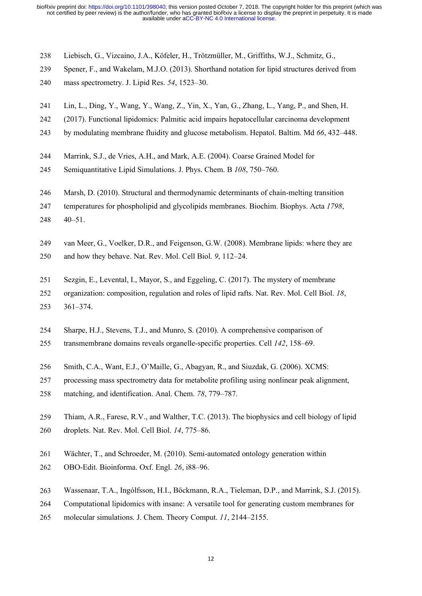ioRxivpreprint doi: https://doi.org/10.1101/398040; this version posted October 7, 2018. The copyright holder for this preprint (which was not certified by peer review) is the author/funder, who has granted bioRxiv a lice ioRxiv preprint doi: https://doi.org/10.1101/398040; this version posted October 7, 2018. The copyright holder for this preprint (which was<br>not certified by peer review) is the author/funder, who has granted bioRxiv a lice ioRxiv preprint doi: https://doi.org/10.1101/398040; this version posted October 7, 2018. The copyright hnot certified by peer review) is the author/funder, who has granted bioRxiv a license to display the pree available u ioRxiv preprint doi: https://doi.org/10.1101/398040; this version posted October 7, 2018. The copyright holder for this preprint (which was<br>not certified by peer review) is the author/lunder, who has granted bioRxiv a lice 242 (2017). Functional lipidomics: Palmitic acid impairs hepatocellular carcinoma development by model of the automobilis who as a available under acc-BY-NC 4.0 International license.<br>
238 Liebisch, G., Vizcaíno, J.A., Köf available under aCC-BY-NC 4.0 International license. not certified by peer review) is the author/funder, who has granted bioRxiv a license to display the preprint in perpetuity. It is made bioRxiv preprint doi: https://doi.org/10.1101/398040; this version posted October 7, 2018. The copyright holder for this preprint (which was

- 
- 
- 
- 
- 
- 238 Liebisch, G., Vizcaino, J.A., Köfeler, H., Trötzmüller, M., Griffiths, W.J., Schmitz, G.,<br>239 Spener, F., and Wakelam, M.J.O. (2013). Shorthand notation for lipid structures derived from<br>240 mass spectrometry. J. Lipid 248 Liebisch, G., Vizcaino, J.A., Köfeler, H., Trötzmüller, M., Griffiths, W.J., Schmitz, G.,<br>
239 Spener, F., and Wakelam, M.J.O. (2013). Shorthand notation for lipid structures derived from<br>
240 mass spectrometry. J. Lip Liebisch, G., Vizcaíno, J.A., Köfeler, H., Trötzmüller, M., Griffiths, W.J., Schmitz, G.,<br>
239 Spener, F., and Wakelam, M.J.O. (2013). Shorthand notation for lipid structures derived from<br>
240 mass spectrometry. J. Lipid R
- 
- 
- 
- 240 Marsh, D. (2010). Structural and thermodynamic determinants of chain-melting ransition-<br>242 Lin, L., Ding, Y., Wang, Y., Wang, Z., Yin, X., Yan, G., Zhang, L., Yang, P., and Shen, H.<br>242 (2017). Functional lipidomics: 241 Lin, L., Ding, Y., Wang, Y., Wang, Z., Yin, X., Yan, G., Zhang, L., Yang, P., and Shen, H.<br>
242 (2017). Functional lipidomics: Palmitic acid impairs hepatocellular carcinoma development<br>
243 by modulating membrane flui
- 
- 243 by modulating membrane fluidity and glucose metabolism. Hepatol. Baltim. Md 66, 432–448.<br>
244 Marrink, S.J., de Vries, A.H., and Mark, A.E. (2004). Coarse Grained Model for<br>
246 Semiquantitative Lipid Simulations. J. P Marrink, S.J., de Vries, A.H., and Mark, A.E. (2004). Coarse Grained Model for<br>
245 Semiquantitative Lipid Simulations. J. Phys. Chem. B 108, 750–760.<br>
246 Marsh, D. (2010). Structural and thermodynamic determinants of cha
- 
- 245 Semiquantitative Lipid Simulations. J. Phys. Chem. B 108, 750–760.<br>
246 Marsh, D. (2010). Structural and thermodynamic determinants of chain-melting transition<br>
247 temperatures for phospholipid and glycolipids membran Marsh, D. (2010). Structural and thermodynamic determinants of chain-melting transition<br>
temperatures for phospholipid and glycolipids membranes. Biochim. Biophys. Acta 1798,<br>
40–51.<br>
249 van Meer, G., Voelker, D.R., and F 248 40–51.<br>
249 van Meer, G., Voelker, D.R., and Feigenson, G.W. (2008). Membrane lipids: where they are<br>
250 and how they behave. Nat. Rev. Mol. Cell Biol. 9, 112–24.<br>
251 Sezgin, E., Levental, I., Mayor, S., and Eggeling 249 van Meer, G., Voelker, D.R., and Feigenson, G.W. (2008). Membrane lipids: where they are<br>250 and how they behave. Nat. Rev. Mol. Cell Biol. 9, 112–24.<br>251 Sezgin, E., Levental, I., Mayor, S., and Eggeling, C. (2017). T 250 and how they behave. Nat. Rev. Mol. Cell Biol. 9, 112–24.<br>
251 Sezgin, E., Levental, I., Mayor, S., and Eggeling, C. (2017). The mystery of membrane<br>
252 organization: composition, regulation and roles of lipid rafts. Sezgin, E., Levental, I., Mayor, S., and Eggeling, C. (2017). The mystery of membrane<br>
organization: composition, regulation and roles of lipid rafts. Nat. Rev. Mol. Cell Biol. 18,<br>
361–374.<br>
Sharpe, H.J., Stevens, T.J., a 251 Sezgin, E., Levental, I., Mayor, S., and Eggeling, C. (2017). The mystery of membrar<br>
252 organization: composition, regulation and roles of lipid rafts. Nat. Rev. Mol. Cell Bio<br>
253 361–374.<br>
254 Sharpe, H.J., Stevens
- 
- 
- 
- 
- 
- 259 259 259 259 Thiam, A.R., Farese, R.V., and Wulnro, S. (2010). A comprehensive comparison of transmembrane domains reveals organelle-specific properties. Cell 142, 158–69.<br>
256 Smith, C.A., Want, E.J., O'Maille, G., Aba 254 Sharpe, H.J., Stevens, T.J., and Munro, S. (2010). A comprehensive comparis<br>
255 transmembrane domains reveals organelle-specific properties. Cell 142, 158–<br>
256 Smith, C.A., Want, E.J., O'Maille, G., Abagyan, R., and 261 External Manusian Everals organelle-specific properties. Cell 142, 158–69.<br>
261 Smith, C.A., Want, E.J., O'Maille, G., Abagyan, R., and Siuzdak, G. (2006). XCMS:<br>
2620 Processing mass spectrometry data for metabolite p Smith, C.A., Want, E.J., O'Maille, G., Abagyan, R., and Siuzdak, G. (2006).<br>
257 processing mass spectrometry data for metabolite profiling using nonlinear pe<br>
matching, and identification. Anal. Chem. 78, 779–787.<br>
259 Th 263 Thiam, A.R., Farese, R.V., and Walther, T.C. (2013). The biophysics and cell biology of lipid<br>260 Thiam, A.R., Farese, R.V., and Walther, T.C. (2013). The biophysics and cell biology of lipid<br>260 droplets. Nat. Rev. Mo 268 Thiam, A.R., Farese, R.V., and Walther, T.C. (2013). The biophysics and cell biology of lipid<br>260 Thiam, A.R., Farese, R.V., and Walther, T.C. (2013). The biophysics and cell biology of lipid<br>260 droplets. Nat. Rev. Mo 269 Thiam, A.R., Farese, R.V., and Walther, T.C. (2013). The biophysics and cell biology of lipide droplets. Nat. Rev. Mol. Cell Biol. *14*, 775–86.<br>261 Wächter, T., and Schroeder, M. (2010). Semi-automated ontology genera
- 
- 
- 
- 
-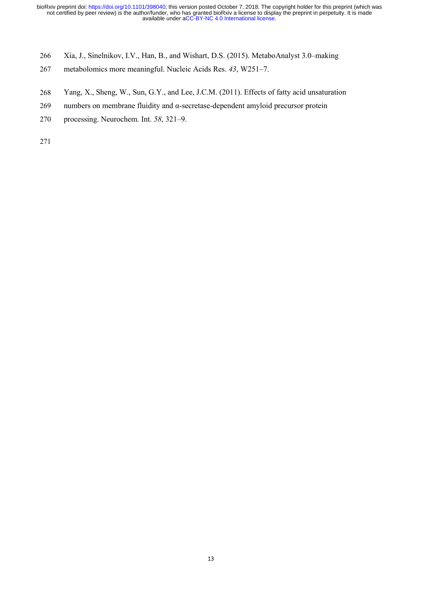ioRxivpreprint doi: https://doi.org/10.1101/398040; this version posted October 7, 2018. The copyright holder for this preprint (which was not certified by peer review) is the author/funder, who has granted bioRxiv a lice ioRxiv preprint doi: https://doi.org/10.1101/398040; this version posted October 7, 2018. The copyright holder for this preprint (where not certified by peer review) is the author/funder, who has granted bioRxiv a license ioRxiv preprint doi: https://doi.org/10.1101/398040; this version posted October 7, 2018. The copyright holder for this preprint (which was<br>not certified by peer review) is the author/funder, who has granted bioRxiv a lice ioRxiv preprint doi: https://doi.org/10.1101/398040; this version posted October 7, 2018. The copyright holder for this preprint (which was<br>not certified by peer review) is the author/funder, who has granted bioRxiv a lic ioRxiv preprint doi: https://doi.org/10.1101/398040; this version posted October 7, 2018. The copyr<br>not certified by peer review) is the author/funder, who has granted bioRxiv a license to display the available under aCCavailable under aCC-BY-NC 4.0 International license. not certified by peer review) is the author/funder, who has granted bioRxiv a license to display the preprint in perpetuity. It is made bioRxiv preprint doi: https://doi.org/10.1101/398040; this version posted October 7, 2018. The copyright holder for this preprint (which was

- 
- 
- 
- 
-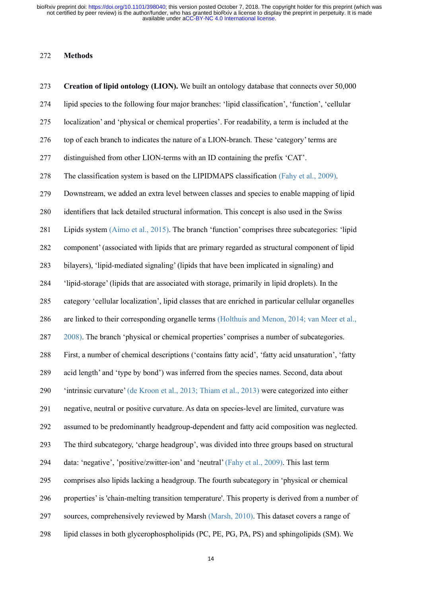## **Methods**

 **Creation of lipid ontology (LION).** We built an ontology database that connects over 50,000 lipid species to the following four major branches: 'lipid classification', 'function', 'cellular localization' and 'physical or chemical properties'. For readability, a term is included at the top of each branch to indicates the nature of a LION-branch. These 'category' terms are distinguished from other LION-terms with an ID containing the prefix 'CAT'. The classification system is based on the LIPIDMAPS classification (Fahy et al., 2009). Downstream, we added an extra level between classes and species to enable mapping of lipid identifiers that lack detailed structural information. This concept is also used in the Swiss Lipids system (Aimo et al., 2015). The branch 'function' comprises three subcategories: 'lipid 282 component' (associated with lipids that are primary regarded as structural component of lipid bilayers), 'lipid-mediated signaling' (lipids that have been implicated in signaling) and 'lipid-storage' (lipids that are associated with storage, primarily in lipid droplets). In the category 'cellular localization', lipid classes that are enriched in particular cellular organelles are linked to their corresponding organelle terms (Holthuis and Menon, 2014; van Meer et al., 2008). The branch 'physical or chemical properties' comprises a number of subcategories. First, a number of chemical descriptions ('contains fatty acid', 'fatty acid unsaturation', 'fatty acid length' and 'type by bond') was inferred from the species names. Second, data about 'intrinsic curvature' (de Kroon et al., 2013; Thiam et al., 2013) were categorized into either negative, neutral or positive curvature. As data on species-level are limited, curvature was assumed to be predominantly headgroup-dependent and fatty acid composition was neglected. The third subcategory, 'charge headgroup', was divided into three groups based on structural data: 'negative', 'positive/zwitter-ion' and 'neutral'(Fahy et al., 2009). This last term comprises also lipids lacking a headgroup. The fourth subcategory in 'physical or chemical properties' is 'chain-melting transition temperature'. This property is derived from a number of sources, comprehensively reviewed by Marsh (Marsh, 2010). This dataset covers a range of lipid classes in both glycerophospholipids (PC, PE, PG, PA, PS) and sphingolipids (SM). We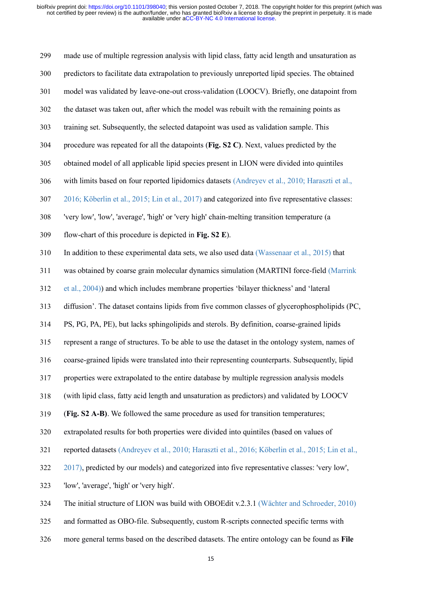made use of multiple regression analysis with lipid class, fatty acid length and unsaturation as predictors to facilitate data extrapolation to previously unreported lipid species. The obtained model was validated by leave-one-out cross-validation (LOOCV). Briefly, one datapoint from the dataset was taken out, after which the modelwas rebuilt with the remaining points as training set. Subsequently, the selected datapoint was used as validation sample. This procedure was repeated for all the datapoints (**Fig. S2 C)**. Next, values predicted by the obtained model of all applicable lipid species present in LION were divided into quintiles 306 with limits based on four reported lipidomics datasets (Andreyev et al., 2010; Haraszti et al., 2016; Köberlin et al., 2015; Lin et al., 2017) and categorized into five representative classes: 'very low', 'low', 'average', 'high' or 'very high' chain-melting transition temperature (a flow-chart of this procedure is depicted in **Fig. S2 E**). In addition to these experimental data sets, we also used data (Wassenaar et al., 2015) that was obtained by coarse grain molecular dynamics simulation (MARTINI force-field (Marrink et al., 2004)) and which includes membrane properties 'bilayer thickness' and 'lateral 313 diffusion'. The dataset contains lipids from five common classes of glycerophospholipids (PC, PS, PG, PA, PE), but lacks sphingolipids and sterols. By definition, coarse-grained lipids represent a range of structures. To be able to use the dataset in the ontology system, names of coarse-grained lipids were translated into their representing counterparts. Subsequently, lipid properties were extrapolated to the entire database by multiple regression analysis models (with lipid class, fatty acid length and unsaturation as predictors) and validated by LOOCV (**Fig. S2 A-B)**. We followed the same procedure as used for transition temperatures; extrapolated results for both properties were divided into quintiles (based on values of reported datasets (Andreyev et al., 2010; Haraszti et al., 2016; Köberlin et al., 2015; Lin et al., 2017), predicted by our models) and categorized into five representative classes: 'very low', 'low', 'average', 'high' or 'very high'. The initial structure of LION was build with OBOEdit v.2.3.1 (Wächter and Schroeder, 2010) and formatted as OBO-file. Subsequently, custom R-scripts connected specific terms with

326 more general terms based on the described datasets. The entire ontology can be found as **File**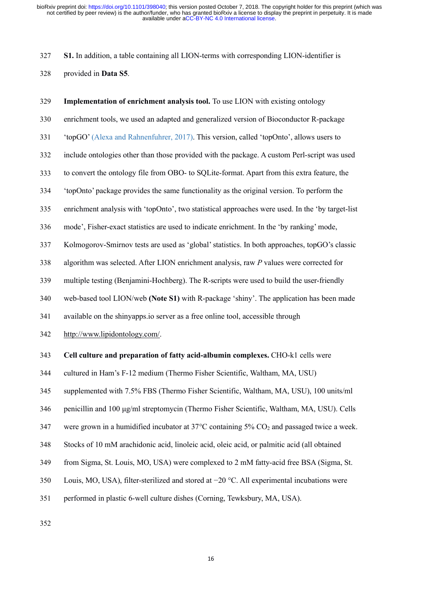**S1.** In addition, a table containing all LION-terms with corresponding LION-identifier is provided in **Data S5**.

 **Implementation of enrichment analysis tool.** To use LION with existing ontology enrichment tools, we used an adapted and generalized version of Bioconductor R-package 'topGO' (Alexa and Rahnenfuhrer, 2017). This version, called 'topOnto', allows users to include ontologies other than those provided with the package. A custom Perl-script was used to convert the ontology file from OBO- to SQLite-format.Apart from this extra feature, the 'topOnto' package provides the same functionality as the original version. To perform the enrichment analysis with 'topOnto', two statistical approaches were used. In the 'by target-list mode', Fisher-exact statistics are used to indicate enrichment. In the 'by ranking' mode, Kolmogorov-Smirnov tests are used as 'global'statistics. In both approaches, topGO's classic algorithm was selected. After LION enrichment analysis, raw *P* values were corrected for multiple testing (Benjamini-Hochberg). The R-scripts were used to build the user-friendly web-based tool LION/web **(Note S1)** with R-package 'shiny'. The application has been made available on the shinyapps.io server as a free online tool, accessible through <http://www.lipidontology.com/>. **Cell culture and preparation of fatty acid-albumin complexes.** CHO-k1 cellswere cultured in Ham's F-12 medium (Thermo Fisher Scientific, Waltham, MA, USU) supplemented with 7.5% FBS (Thermo Fisher Scientific, Waltham, MA, USU), 100 units/ml penicillin and 100 μg/ml streptomycin (Thermo Fisher Scientific, Waltham, MA, USU). Cells 347 were grown in a humidified incubator at  $37^{\circ}$ C containing  $5\%$  CO<sub>2</sub> and passaged twice a week. Stocks of10 mM arachidonic acid, linoleic acid, oleic acid, or palmitic acid (all obtained from Sigma, St. Louis, MO, USA) were complexed to 2 mM fatty-acid free BSA (Sigma, St. Louis, MO, USA), filter-sterilized and stored at −20 °C. All experimental incubations were

performed in plastic 6-well culture dishes (Corning, Tewksbury, MA, USA).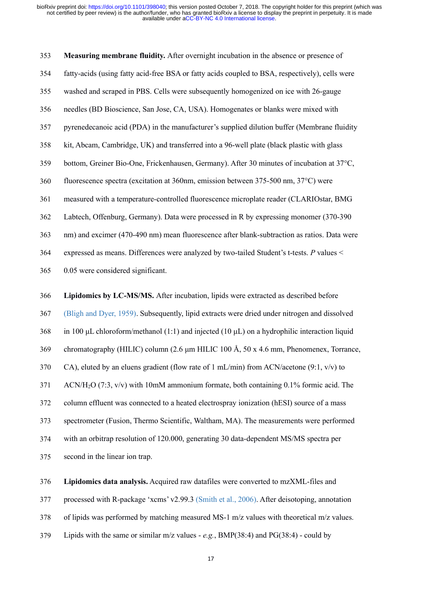ioRxivpreprint doi: https://doi.org/10.1101/398040; this version posted October 7, 2018. The copyright holder for this preprint (which was not certified by peer review) is the author/funder, who has granted bioRxiv a lice ioRxiv preprint doi: https://doi.org/10.1101/398040; this version posted October 7, 2018. The copyright holder for this preprint (which was not certified by peer review) is the author/funder, who has granted bioRxiv a lice 355 in the straight holder in the manufacturer's applied distance of the manufacture in the manufacture of the manufacture of the authority of the and scraped binds were subsequently the preprint in perpetulity. It is made ioRxiv preprint doi: https://doi.org/10.1101/398040; this version posted October 7, 2018. The copyright holder for this preprint (which was<br>not certified by peer review) is the author/lunder, who has granted bioRxiv a lice not certified by peer review) is the author/tunder, who has grained bioRxiv a license.<br>
available under acC-BY-NC 4.0 International license.<br>
353 Measuring membrane fluidity. After overnight incubation in the absence or pr 353 **Measuring membrane fluidity.** After overnight incubation in the absence or presence of<br>354 fatty-acids (using fatty acid-free BSA or fatty acids coupled to BSA, respectively), cells were<br>355 washed and scraped in PBS. **SEE 359 Bottom, See Start See SEA or Faity acids coupled to BSA**, respectively), cells were<br>sushed and scraped in PBS. Cells were subsequently homogenized on ice with 26-gauge<br>needles (BD Bioscience, San Jose, CA, USA). H 354 fatty-acids (using fatty acid-free BSA or fatty acids coupled to BSA, respectively), cells were<br>355 washed and scraped in PBS. Cells were subsequently homogenized on ice with 26-gauge<br>356 needles (BD Bioscience, San Jo 355 washed and scraped in PBS. Cells were subsequently homogenized on ice with 26-gauge<br>356 needles (BD Bioscience, San Jose, CA, USA). Homogenates or blanks were mixed with<br>357 pyrenedecanoic acid (PDA) in the manufacture 363 needles (BD Bioscience, San Jose, CA, USA). Homogenates or blanks were mixed with<br>357 pyrenedecanoic acid (PDA) in the manufacturer's supplied dilution buffer (Membrane fluidity<br>358 kit, Abcam, Cambridge, UK) and trans 357 pyrenedecanoic acid (PDA) in the manufacturer's supplied dilution buffer (Membrane fluidity<br>
358 kit, Abcam, Cambridge, UK) and transferred into a 96-well plate (black plastic with glass<br>
359 bottom, Greiner Bio-One, 363 kit, Abcam, Cambridge, UK) and transferred into a 96-well plate (black plastic with glass<br>359 bottom, Greiner Bio-One, Frickenhausen, Germany). After 30 minutes of incubation at 37°C,<br>360 fluorescence spectra (excitati 359 bottom, Greiner Bio-One, Frickenhausen, Germany). After 3<br>360 fluorescence spectra (excitation at 360nm, emission between<br>361 measured with a temperature-controlled fluorescence microp<br>362 Labtech, Offenburg, Germany). 1366 **Lipidomics by LC-MS/MS.** After incubation, lipids were processed in R by expressing monomer (370-390 Labtech, Offenburg, Germany). Data were processed in R by expressing monomer (370-390 nm) and excimer (470-490 nm) 361 measured with a temperature-controlled fluorescence microplate reader (CLARIOstar, BMG<br>362 Labtech, Offenburg, Germany). Data were processed in R by expressing monomer (370-390<br>363 nm) and excimer (470-490 nm) mean fl Labtech, Offenburg, Germany). Data were processed in R by expressing monomer (370-390<br>
363 mm) and excimer (470-490 nm) mean fluorescence after blank-subtraction as ratios. Data were<br>
264 expressed as means. Differences 363 nm) and excimer (470-490 nm) mean fluorescence after blank-subtraction as ratios. Data were<br>expressed as means. Differences were analyzed by two-tailed Student's t-tests. P values <<br>0.05 were considered significant.<br>3 364 expressed as means. Differences were analyzed by two-tailed Student's t-tests. P values <<br>
365 0.05 were considered significant.<br>
366 Lipidomics by LC-MS/MS. After incubation, lipids were extracted as described before 365 0.05 were considered significant.<br>
366 Lipidomics by LC-MS/MS. After incubation, lipids were extracted as described before<br>
367 (Bligh and Dyer, 1959). Subsequently, lipid extracts were dried under nitrogen and dissol **366 Lipidomics by LC-MS/MS.** After incubation, lipids were extracted as described before (Bligh and Dyer, 1959). Subsequently, lipid extracts were dried under nitrogen and dissolved<br> **369** in 100 µL chloroform/methanol

367 (Bligh and Dyer, 1959). Subsequently, lipid extracts were dried under nitrogen and dissolved<br>368 in 100 µL chloroform/methanol (1:1) and injected (10 µL) on a hydrophilic interaction liquid<br>369 chromatography (HILIC) 368 in 100 µL chloroform/methanol (1:1) and injected (10 µL) on a hydrophilic interaction liquid<br>369 chromatography (HILIC) column (2.6 µm HILIC 100 Å, 50 x 4.6 mm, Phenomenex, Torrance,<br>370 CA), eluted by an eluens gradie 369 chromatography (HILIC) column (2.6  $\mu$ m HILIC 100 Å, 50 x CA), eluted by an eluens gradient (flow rate of 1 mL/min) from<br>370 CA), eluted by an eluens gradient (flow rate of 1 mL/min) from<br>371 ACN/H<sub>2</sub>O (7:3, v/v) wit 276 CA), eluted by an eluens gradient (flow rate of 1 mL/min) from ACN/acetone (9:1, v/v) to<br>
371 ACN/H<sub>2</sub>O (7:3, v/v) with 10mM ammonium formate, both containing 0.1% formic acid. The<br>
2372 column effluent was connected t 371 ACN/H<sub>2</sub>O (7:3, v/v) with 10mM ammonium formate, both containing 0.1% formic acid. The<br>372 column effluent was connected to a heated electrospray ionization (hESI) source of a mass<br>373 spectrometer (Fusion, Thermo Sci 373 column effluent was connected to a heated electrospray ionization (hESI) source of a mass<br>373 spectrometer (Fusion, Thermo Scientific, Waltham, MA). The measurements were performed<br>374 with an orbitrap resolution of 1 373 spectrometer (Fusion, Thermo Scientific, Waltham, MA). The measurements were performed<br>374 with an orbitrap resolution of 120.000, generating 30 data-dependent MS/MS spectra per<br>375 second in the linear ion trap.<br>376